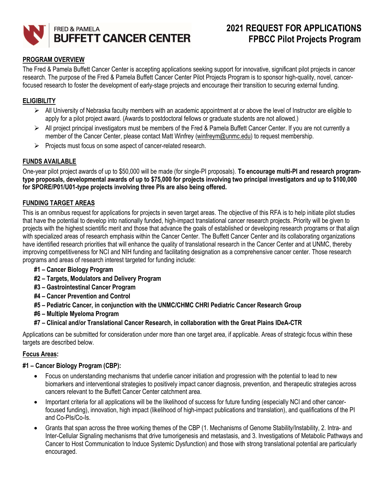

# 2021 REQUEST FOR APPLICATIONS FPBCC Pilot Projects Program

## PROGRAM OVERVIEW

The Fred & Pamela Buffett Cancer Center is accepting applications seeking support for innovative, significant pilot projects in cancer research. The purpose of the Fred & Pamela Buffett Cancer Center Pilot Projects Program is to sponsor high-quality, novel, cancerfocused research to foster the development of early-stage projects and encourage their transition to securing external funding.

#### **ELIGIBILITY**

- $\triangleright$  All University of Nebraska faculty members with an academic appointment at or above the level of Instructor are eligible to apply for a pilot project award. (Awards to postdoctoral fellows or graduate students are not allowed.)
- $\triangleright$  All project principal investigators must be members of the Fred & Pamela Buffett Cancer Center. If you are not currently a member of the Cancer Center, please contact Matt Winfrey (winfreym@unmc.edu) to request membership.
- $\triangleright$  Projects must focus on some aspect of cancer-related research.

#### FUNDS AVAILABLE

One-year pilot project awards of up to \$50,000 will be made (for single-PI proposals). To encourage multi-PI and research programtype proposals, developmental awards of up to \$75,000 for projects involving two principal investigators and up to \$100,000 for SPORE/P01/U01-type projects involving three PIs are also being offered.

#### FUNDING TARGET AREAS

This is an omnibus request for applications for projects in seven target areas. The objective of this RFA is to help initiate pilot studies that have the potential to develop into nationally funded, high-impact translational cancer research projects. Priority will be given to projects with the highest scientific merit and those that advance the goals of established or developing research programs or that align with specialized areas of research emphasis within the Cancer Center. The Buffett Cancer Center and its collaborating organizations have identified research priorities that will enhance the quality of translational research in the Cancer Center and at UNMC, thereby improving competitiveness for NCI and NIH funding and facilitating designation as a comprehensive cancer center. Those research programs and areas of research interest targeted for funding include:

- #1 Cancer Biology Program
- #2 Targets, Modulators and Delivery Program
- #3 Gastrointestinal Cancer Program
- #4 Cancer Prevention and Control
- #5 Pediatric Cancer, in conjunction with the UNMC/CHMC CHRI Pediatric Cancer Research Group
- #6 Multiple Myeloma Program
- #7 Clinical and/or Translational Cancer Research, in collaboration with the Great Plains IDeA-CTR

Applications can be submitted for consideration under more than one target area, if applicable. Areas of strategic focus within these targets are described below.

#### Focus Areas:

#### #1 – Cancer Biology Program (CBP):

- Focus on understanding mechanisms that underlie cancer initiation and progression with the potential to lead to new biomarkers and interventional strategies to positively impact cancer diagnosis, prevention, and therapeutic strategies across cancers relevant to the Buffett Cancer Center catchment area.
- Important criteria for all applications will be the likelihood of success for future funding (especially NCI and other cancerfocused funding), innovation, high impact (likelihood of high-impact publications and translation), and qualifications of the PI and Co-PIs/Co-Is.
- Grants that span across the three working themes of the CBP (1. Mechanisms of Genome Stability/Instability, 2. Intra- and Inter-Cellular Signaling mechanisms that drive tumorigenesis and metastasis, and 3. Investigations of Metabolic Pathways and Cancer to Host Communication to Induce Systemic Dysfunction) and those with strong translational potential are particularly encouraged.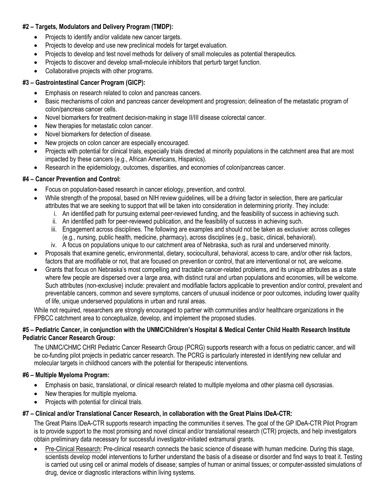## #2 – Targets, Modulators and Delivery Program (TMDP):

- Projects to identify and/or validate new cancer targets.
- Projects to develop and use new preclinical models for target evaluation.
- Projects to develop and test novel methods for delivery of small molecules as potential therapeutics.
- Projects to discover and develop small-molecule inhibitors that perturb target function.
- Collaborative projects with other programs.

# #3 – Gastrointestinal Cancer Program (GICP):

- Emphasis on research related to colon and pancreas cancers.
- Basic mechanisms of colon and pancreas cancer development and progression; delineation of the metastatic program of colon/pancreas cancer cells.
- Novel biomarkers for treatment decision-making in stage II/III disease colorectal cancer.
- New therapies for metastatic colon cancer.
- Novel biomarkers for detection of disease.
- New projects on colon cancer are especially encouraged.
- Projects with potential for clinical trials, especially trials directed at minority populations in the catchment area that are most impacted by these cancers (e.g., African Americans, Hispanics).
- Research in the epidemiology, outcomes, disparities, and economies of colon/pancreas cancer.

## #4 – Cancer Prevention and Control:

- Focus on population-based research in cancer etiology, prevention, and control.
- While strength of the proposal, based on NIH review guidelines, will be a driving factor in selection, there are particular attributes that we are seeking to support that will be taken into consideration in determining priority. They include:
	- i. An identified path for pursuing external peer-reviewed funding, and the feasibility of success in achieving such.
	- ii. An identified path for peer-reviewed publication, and the feasibility of success in achieving such.
	- iii. Engagement across disciplines. The following are examples and should not be taken as exclusive: across colleges (e.g., nursing, public health, medicine, pharmacy), across disciplines (e.g., basic, clinical, behavioral).
	- iv. A focus on populations unique to our catchment area of Nebraska, such as rural and underserved minority.
- Proposals that examine genetic, environmental, dietary, sociocultural, behavioral, access to care, and/or other risk factors, factors that are modifiable or not, that are focused on prevention or control, that are interventional or not, are welcome.
- Grants that focus on Nebraska's most compelling and tractable cancer-related problems, and its unique attributes as a state where few people are dispersed over a large area, with distinct rural and urban populations and economies, will be welcome. Such attributes (non-exclusive) include: prevalent and modifiable factors applicable to prevention and/or control, prevalent and preventable cancers, common and severe symptoms, cancers of unusual incidence or poor outcomes, including lower quality of life, unique underserved populations in urban and rural areas.

While not required, researchers are strongly encouraged to partner with communities and/or healthcare organizations in the FPBCC catchment area to conceptualize, develop, and implement the proposed studies.

## #5 – Pediatric Cancer, in conjunction with the UNMC/Children's Hospital & Medical Center Child Health Research Institute Pediatric Cancer Research Group:

The UNMC/CHMC CHRI Pediatric Cancer Research Group (PCRG) supports research with a focus on pediatric cancer, and will be co-funding pilot projects in pediatric cancer research. The PCRG is particularly interested in identifying new cellular and molecular targets in childhood cancers with the potential for therapeutic interventions.

## #6 – Multiple Myeloma Program:

- Emphasis on basic, translational, or clinical research related to multiple myeloma and other plasma cell dyscrasias.
- New therapies for multiple myeloma.
- Projects with potential for clinical trials.

## #7 – Clinical and/or Translational Cancer Research, in collaboration with the Great Plains IDeA-CTR:

The Great Plains IDeA-CTR supports research impacting the communities it serves. The goal of the GP IDeA-CTR Pilot Program is to provide support to the most promising and novel clinical and/or translational research (CTR) projects, and help investigators obtain preliminary data necessary for successful investigator-initiated extramural grants.

 Pre-Clinical Research: Pre-clinical research connects the basic science of disease with human medicine. During this stage, scientists develop model interventions to further understand the basis of a disease or disorder and find ways to treat it. Testing is carried out using cell or animal models of disease; samples of human or animal tissues; or computer-assisted simulations of drug, device or diagnostic interactions within living systems.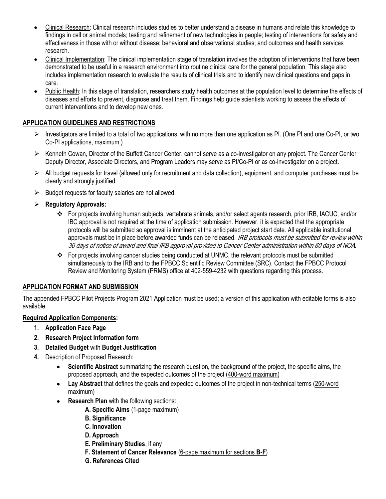- Clinical Research: Clinical research includes studies to better understand a disease in humans and relate this knowledge to findings in cell or animal models; testing and refinement of new technologies in people; testing of interventions for safety and effectiveness in those with or without disease; behavioral and observational studies; and outcomes and health services research.
- Clinical Implementation: The clinical implementation stage of translation involves the adoption of interventions that have been demonstrated to be useful in a research environment into routine clinical care for the general population. This stage also includes implementation research to evaluate the results of clinical trials and to identify new clinical questions and gaps in care.
- Public Health: In this stage of translation, researchers study health outcomes at the population level to determine the effects of diseases and efforts to prevent, diagnose and treat them. Findings help guide scientists working to assess the effects of current interventions and to develop new ones.

## APPLICATION GUIDELINES AND RESTRICTIONS

- $\triangleright$  Investigators are limited to a total of two applications, with no more than one application as PI. (One PI and one Co-PI, or two Co-PI applications, maximum.)
- $\triangleright$  Kenneth Cowan, Director of the Buffett Cancer Center, cannot serve as a co-investigator on any project. The Cancer Center Deputy Director, Associate Directors, and Program Leaders may serve as PI/Co-PI or as co-investigator on a project.
- $\triangleright$  All budget requests for travel (allowed only for recruitment and data collection), equipment, and computer purchases must be clearly and strongly justified.
- $\triangleright$  Budget requests for faculty salaries are not allowed.
- $\triangleright$  Regulatory Approvals:
	- For projects involving human subjects, vertebrate animals, and/or select agents research, prior IRB, IACUC, and/or IBC approval is not required at the time of application submission. However, it is expected that the appropriate protocols will be submitted so approval is imminent at the anticipated project start date. All applicable institutional approvals must be in place before awarded funds can be released. IRB protocols must be submitted for review within 30 days of notice of award and final IRB approval provided to Cancer Center administration within 60 days of NOA.
	- For projects involving cancer studies being conducted at UNMC, the relevant protocols must be submitted simultaneously to the IRB and to the FPBCC Scientific Review Committee (SRC). Contact the FPBCC Protocol Review and Monitoring System (PRMS) office at 402-559-4232 with questions regarding this process.

#### APPLICATION FORMAT AND SUBMISSION

The appended FPBCC Pilot Projects Program 2021 Application must be used; a version of this application with editable forms is also available.

#### Required Application Components:

- 1. Application Face Page
- 2. Research Project Information form
- 3. Detailed Budget with Budget Justification
- 4. Description of Proposed Research:
	- Scientific Abstract summarizing the research question, the background of the project, the specific aims, the proposed approach, and the expected outcomes of the project (400-word maximum)
	- Lay Abstract that defines the goals and expected outcomes of the project in non-technical terms (250-word maximum)
	- Research Plan with the following sections:
		- A. Specific Aims (1-page maximum)
		- **B. Significance**
		- C. Innovation
		- D. Approach
		- E. Preliminary Studies, if any
		- F. Statement of Cancer Relevance (6-page maximum for sections B-F)
		- G. References Cited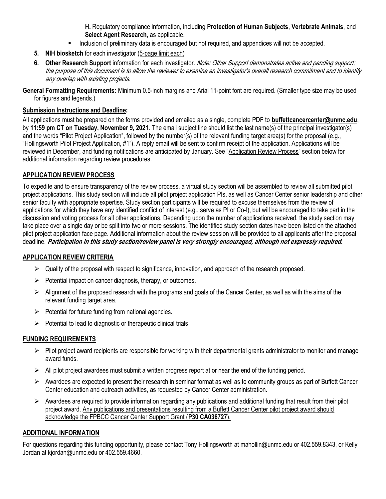H. Regulatory compliance information, including Protection of Human Subjects, Vertebrate Animals, and Select Agent Research, as applicable.

- **Inclusion of preliminary data is encouraged but not required, and appendices will not be accepted.**
- 5. NIH biosketch for each investigator (5-page limit each)
- 6. Other Research Support information for each investigator. Note: Other Support demonstrates active and pending support; the purpose of this document is to allow the reviewer to examine an investigator's overall research commitment and to identify any overlap with existing projects.

General Formatting Requirements: Minimum 0.5-inch margins and Arial 11-point font are required. (Smaller type size may be used for figures and legends.)

#### Submission Instructions and Deadline:

All applications must be prepared on the forms provided and emailed as a single, complete PDF to **buffettcancercenter@unmc.edu**, by 11:59 pm CT on Tuesday, November 9, 2021. The email subject line should list the last name(s) of the principal investigator(s) and the words "Pilot Project Application", followed by the number(s) of the relevant funding target area(s) for the proposal (e.g., "Hollingsworth Pilot Project Application, #1"). A reply email will be sent to confirm receipt of the application. Applications will be reviewed in December, and funding notifications are anticipated by January. See "Application Review Process" section below for additional information regarding review procedures.

## APPLICATION REVIEW PROCESS

To expedite and to ensure transparency of the review process, a virtual study section will be assembled to review all submitted pilot project applications. This study section will include all pilot project application PIs, as well as Cancer Center senior leadership and other senior faculty with appropriate expertise. Study section participants will be required to excuse themselves from the review of applications for which they have any identified conflict of interest (e.g., serve as PI or Co-I), but will be encouraged to take part in the discussion and voting process for all other applications. Depending upon the number of applications received, the study section may take place over a single day or be split into two or more sessions. The identified study section dates have been listed on the attached pilot project application face page. Additional information about the review session will be provided to all applicants after the proposal deadline. Participation in this study section/review panel is very strongly encouraged, although not expressly required.

#### APPLICATION REVIEW CRITERIA

- $\triangleright$  Quality of the proposal with respect to significance, innovation, and approach of the research proposed.
- $\triangleright$  Potential impact on cancer diagnosis, therapy, or outcomes.
- $\triangleright$  Alignment of the proposed research with the programs and goals of the Cancer Center, as well as with the aims of the relevant funding target area.
- $\triangleright$  Potential for future funding from national agencies.
- $\triangleright$  Potential to lead to diagnostic or therapeutic clinical trials.

#### FUNDING REQUIREMENTS

- $\triangleright$  Pilot project award recipients are responsible for working with their departmental grants administrator to monitor and manage award funds.
- $\triangleright$  All pilot project awardees must submit a written progress report at or near the end of the funding period.
- $\triangleright$  Awardees are expected to present their research in seminar format as well as to community groups as part of Buffett Cancer Center education and outreach activities, as requested by Cancer Center administration.
- $\triangleright$  Awardees are required to provide information regarding any publications and additional funding that result from their pilot project award. Any publications and presentations resulting from a Buffett Cancer Center pilot project award should acknowledge the FPBCC Cancer Center Support Grant (P30 CA036727).

#### ADDITIONAL INFORMATION

For questions regarding this funding opportunity, please contact Tony Hollingsworth at mahollin@unmc.edu or 402.559.8343, or Kelly Jordan at kjordan@unmc.edu or 402.559.4660.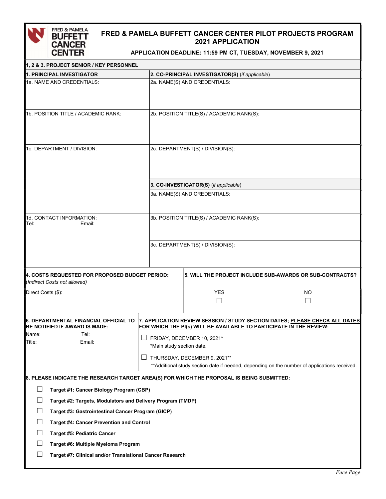

# FRED & PAMELA BUFFETT CANCER CENTER PILOT PROJECTS PROGRAM 2021 APPLICATION

APPLICATION DEADLINE: 11:59 PM CT, TUESDAY, NOVEMBER 9, 2021

| 1, 2 & 3. PROJECT SENIOR / KEY PERSONNEL                                                  |  |                                                                                                                               |                                                                                    |  |  |  |  |
|-------------------------------------------------------------------------------------------|--|-------------------------------------------------------------------------------------------------------------------------------|------------------------------------------------------------------------------------|--|--|--|--|
| 1. PRINCIPAL INVESTIGATOR                                                                 |  | 2. CO-PRINCIPAL INVESTIGATOR(S) (if applicable)                                                                               |                                                                                    |  |  |  |  |
| 1a. NAME AND CREDENTIALS:                                                                 |  | 2a. NAME(S) AND CREDENTIALS:                                                                                                  |                                                                                    |  |  |  |  |
| 1b. POSITION TITLE / ACADEMIC RANK:                                                       |  | 2b. POSITION TITLE(S) / ACADEMIC RANK(S):                                                                                     |                                                                                    |  |  |  |  |
| 1c. DEPARTMENT / DIVISION:                                                                |  | 2c. DEPARTMENT(S) / DIVISION(S):                                                                                              |                                                                                    |  |  |  |  |
|                                                                                           |  | 3. CO-INVESTIGATOR(S) (if applicable)                                                                                         |                                                                                    |  |  |  |  |
|                                                                                           |  | 3a. NAME(S) AND CREDENTIALS:                                                                                                  |                                                                                    |  |  |  |  |
| 1d. CONTACT INFORMATION:<br>Tel:<br>Email:                                                |  | 3b. POSITION TITLE(S) / ACADEMIC RANK(S):                                                                                     |                                                                                    |  |  |  |  |
|                                                                                           |  | 3c. DEPARTMENT(S) / DIVISION(S):                                                                                              |                                                                                    |  |  |  |  |
| 4. COSTS REQUESTED FOR PROPOSED BUDGET PERIOD:<br>(Indirect Costs not allowed)            |  |                                                                                                                               | <b>5. WILL THE PROJECT INCLUDE SUB-AWARDS OR SUB-CONTRACTS?</b>                    |  |  |  |  |
| Direct Costs (\$):                                                                        |  | <b>YES</b><br>$\mathsf{L}$                                                                                                    | NO<br>$\vert \ \ \vert$                                                            |  |  |  |  |
| 6. DEPARTMENTAL FINANCIAL OFFICIAL TO<br>BE NOTIFIED IF AWARD IS MADE:                    |  | FOR WHICH THE PI(s) WILL BE AVAILABLE TO PARTICIPATE IN THE REVIEW:                                                           | 7. APPLICATION REVIEW SESSION / STUDY SECTION DATES; <u>PLEASE CHECK ALL DATES</u> |  |  |  |  |
| Name:<br>Tel:<br>Title:<br>Email:                                                         |  | FRIDAY, DECEMBER 10, 2021*<br>*Main study section date.                                                                       |                                                                                    |  |  |  |  |
|                                                                                           |  | THURSDAY, DECEMBER 9, 2021**<br>** Additional study section date if needed, depending on the number of applications received. |                                                                                    |  |  |  |  |
| 8. PLEASE INDICATE THE RESEARCH TARGET AREA(S) FOR WHICH THE PROPOSAL IS BEING SUBMITTED: |  |                                                                                                                               |                                                                                    |  |  |  |  |
| Target #1: Cancer Biology Program (CBP)                                                   |  |                                                                                                                               |                                                                                    |  |  |  |  |
| Target #2: Targets, Modulators and Delivery Program (TMDP)                                |  |                                                                                                                               |                                                                                    |  |  |  |  |
| Target #3: Gastrointestinal Cancer Program (GICP)                                         |  |                                                                                                                               |                                                                                    |  |  |  |  |
| <b>Target #4: Cancer Prevention and Control</b>                                           |  |                                                                                                                               |                                                                                    |  |  |  |  |
| <b>Target #5: Pediatric Cancer</b>                                                        |  |                                                                                                                               |                                                                                    |  |  |  |  |
| Target #6: Multiple Myeloma Program                                                       |  |                                                                                                                               |                                                                                    |  |  |  |  |
| Target #7: Clinical and/or Translational Cancer Research                                  |  |                                                                                                                               |                                                                                    |  |  |  |  |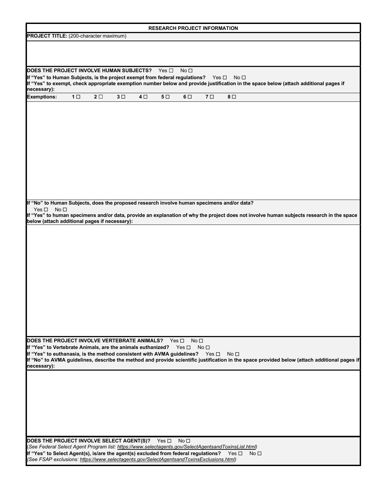| <b>RESEARCH PROJECT INFORMATION</b>                                                                                                                                                                                          |                |            |            |            |                |                               |                 |                 |                                                                                                                                              |
|------------------------------------------------------------------------------------------------------------------------------------------------------------------------------------------------------------------------------|----------------|------------|------------|------------|----------------|-------------------------------|-----------------|-----------------|----------------------------------------------------------------------------------------------------------------------------------------------|
| <b>PROJECT TITLE:</b> (200-character maximum)                                                                                                                                                                                |                |            |            |            |                |                               |                 |                 |                                                                                                                                              |
|                                                                                                                                                                                                                              |                |            |            |            |                |                               |                 |                 |                                                                                                                                              |
|                                                                                                                                                                                                                              |                |            |            |            |                |                               |                 |                 |                                                                                                                                              |
| DOES THE PROJECT INVOLVE HUMAN SUBJECTS?                                                                                                                                                                                     |                |            |            |            | Yes $\Box$     | No <sub>1</sub>               |                 |                 |                                                                                                                                              |
| If "Yes" to Human Subjects, is the project exempt from federal regulations?                                                                                                                                                  |                |            |            |            |                |                               | Yes $\square$   | No <sub>1</sub> | If "Yes" to exempt, check appropriate exemption number below and provide justification in the space below (attach additional pages if        |
| necessary):                                                                                                                                                                                                                  |                |            |            |            |                |                               |                 |                 |                                                                                                                                              |
| <b>Exemptions:</b>                                                                                                                                                                                                           | 1 <sub>0</sub> | $2\square$ | $3\square$ | $4\square$ | 5 <sub>1</sub> | $6\Box$                       | 7 <sub>0</sub>  | $8\Box$         |                                                                                                                                              |
|                                                                                                                                                                                                                              |                |            |            |            |                |                               |                 |                 |                                                                                                                                              |
|                                                                                                                                                                                                                              |                |            |            |            |                |                               |                 |                 |                                                                                                                                              |
|                                                                                                                                                                                                                              |                |            |            |            |                |                               |                 |                 |                                                                                                                                              |
|                                                                                                                                                                                                                              |                |            |            |            |                |                               |                 |                 |                                                                                                                                              |
|                                                                                                                                                                                                                              |                |            |            |            |                |                               |                 |                 |                                                                                                                                              |
|                                                                                                                                                                                                                              |                |            |            |            |                |                               |                 |                 |                                                                                                                                              |
|                                                                                                                                                                                                                              |                |            |            |            |                |                               |                 |                 |                                                                                                                                              |
|                                                                                                                                                                                                                              |                |            |            |            |                |                               |                 |                 |                                                                                                                                              |
|                                                                                                                                                                                                                              |                |            |            |            |                |                               |                 |                 |                                                                                                                                              |
| If "No" to Human Subjects, does the proposed research involve human specimens and/or data?<br>Yes $\square$<br>No <sub>1</sub>                                                                                               |                |            |            |            |                |                               |                 |                 |                                                                                                                                              |
|                                                                                                                                                                                                                              |                |            |            |            |                |                               |                 |                 | If "Yes" to human specimens and/or data, provide an explanation of why the project does not involve human subjects research in the space     |
| below (attach additional pages if necessary):                                                                                                                                                                                |                |            |            |            |                |                               |                 |                 |                                                                                                                                              |
|                                                                                                                                                                                                                              |                |            |            |            |                |                               |                 |                 |                                                                                                                                              |
|                                                                                                                                                                                                                              |                |            |            |            |                |                               |                 |                 |                                                                                                                                              |
|                                                                                                                                                                                                                              |                |            |            |            |                |                               |                 |                 |                                                                                                                                              |
|                                                                                                                                                                                                                              |                |            |            |            |                |                               |                 |                 |                                                                                                                                              |
|                                                                                                                                                                                                                              |                |            |            |            |                |                               |                 |                 |                                                                                                                                              |
|                                                                                                                                                                                                                              |                |            |            |            |                |                               |                 |                 |                                                                                                                                              |
|                                                                                                                                                                                                                              |                |            |            |            |                |                               |                 |                 |                                                                                                                                              |
|                                                                                                                                                                                                                              |                |            |            |            |                |                               |                 |                 |                                                                                                                                              |
|                                                                                                                                                                                                                              |                |            |            |            |                |                               |                 |                 |                                                                                                                                              |
|                                                                                                                                                                                                                              |                |            |            |            |                |                               |                 |                 |                                                                                                                                              |
| DOES THE PROJECT INVOLVE VERTEBRATE ANIMALS?                                                                                                                                                                                 |                |            |            |            |                | No <sub>1</sub><br>Yes $\Box$ |                 |                 |                                                                                                                                              |
| If "Yes" to Vertebrate Animals, are the animals euthanized?                                                                                                                                                                  |                |            |            |            |                | Yes $\square$                 | No <sub>1</sub> |                 |                                                                                                                                              |
| If "Yes" to euthanasia, is the method consistent with AVMA guidelines?  Yes □                                                                                                                                                |                |            |            |            |                |                               |                 | No <sub>1</sub> | If "No" to AVMA guidelines, describe the method and provide scientific justification in the space provided below (attach additional pages if |
| necessary):                                                                                                                                                                                                                  |                |            |            |            |                |                               |                 |                 |                                                                                                                                              |
|                                                                                                                                                                                                                              |                |            |            |            |                |                               |                 |                 |                                                                                                                                              |
|                                                                                                                                                                                                                              |                |            |            |            |                |                               |                 |                 |                                                                                                                                              |
|                                                                                                                                                                                                                              |                |            |            |            |                |                               |                 |                 |                                                                                                                                              |
|                                                                                                                                                                                                                              |                |            |            |            |                |                               |                 |                 |                                                                                                                                              |
|                                                                                                                                                                                                                              |                |            |            |            |                |                               |                 |                 |                                                                                                                                              |
|                                                                                                                                                                                                                              |                |            |            |            |                |                               |                 |                 |                                                                                                                                              |
| DOES THE PROJECT INVOLVE SELECT AGENT(S)? Yes D No D                                                                                                                                                                         |                |            |            |            |                |                               |                 |                 |                                                                                                                                              |
| (See Federal Select Agent Program list: https://www.selectagents.gov/SelectAgentsandToxinsList.html)<br>If "Yes" to Select Agent(s), is/are the agent(s) excluded from federal regulations?<br>Yes $\square$<br>No $\square$ |                |            |            |            |                |                               |                 |                 |                                                                                                                                              |
| (See FSAP exclusions: https://www.selectagents.gov/SelectAgentsandToxinsExclusions.html)                                                                                                                                     |                |            |            |            |                |                               |                 |                 |                                                                                                                                              |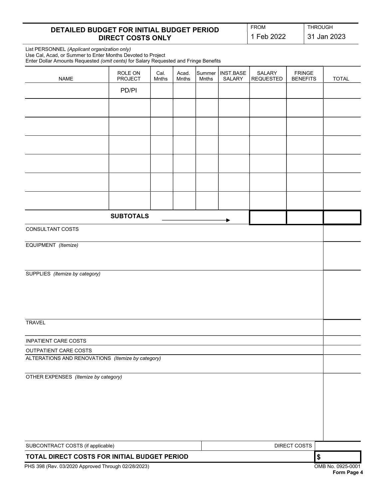## DETAILED BUDGET FOR INITIAL BUDGET PERIOD DIRECT COSTS ONLY

1 Feb 2022 31 Jan 2023

FROM THROUGH

 List PERSONNEL (Applicant organization only) Use Cal, Acad, or Summer to Enter Months Devoted to Project Enter Dollar Amounts Requested (omit cents) for Salary Requested and Fringe Benefits

j

| Liller Dollar Amounts Requested (Officerits) for Salary Requested and Fringe Defensive |                           |               |                |                 |                     |                            |                                  |            |                   |
|----------------------------------------------------------------------------------------|---------------------------|---------------|----------------|-----------------|---------------------|----------------------------|----------------------------------|------------|-------------------|
| <b>NAME</b>                                                                            | ROLE ON<br><b>PROJECT</b> | Cal.<br>Mnths | Acad.<br>Mnths | Summer<br>Mnths | INST.BASE<br>SALARY | SALARY<br><b>REQUESTED</b> | <b>FRINGE</b><br><b>BENEFITS</b> |            | <b>TOTAL</b>      |
|                                                                                        | PD/PI                     |               |                |                 |                     |                            |                                  |            |                   |
|                                                                                        |                           |               |                |                 |                     |                            |                                  |            |                   |
|                                                                                        |                           |               |                |                 |                     |                            |                                  |            |                   |
|                                                                                        |                           |               |                |                 |                     |                            |                                  |            |                   |
|                                                                                        |                           |               |                |                 |                     |                            |                                  |            |                   |
|                                                                                        |                           |               |                |                 |                     |                            |                                  |            |                   |
|                                                                                        |                           |               |                |                 |                     |                            |                                  |            |                   |
|                                                                                        |                           |               |                |                 |                     |                            |                                  |            |                   |
|                                                                                        | <b>SUBTOTALS</b>          |               |                |                 |                     |                            |                                  |            |                   |
| CONSULTANT COSTS                                                                       |                           |               |                |                 |                     |                            |                                  |            |                   |
| EQUIPMENT (Itemize)                                                                    |                           |               |                |                 |                     |                            |                                  |            |                   |
|                                                                                        |                           |               |                |                 |                     |                            |                                  |            |                   |
| SUPPLIES (Itemize by category)                                                         |                           |               |                |                 |                     |                            |                                  |            |                   |
|                                                                                        |                           |               |                |                 |                     |                            |                                  |            |                   |
|                                                                                        |                           |               |                |                 |                     |                            |                                  |            |                   |
| <b>TRAVEL</b>                                                                          |                           |               |                |                 |                     |                            |                                  |            |                   |
| <b>INPATIENT CARE COSTS</b>                                                            |                           |               |                |                 |                     |                            |                                  |            |                   |
| OUTPATIENT CARE COSTS                                                                  |                           |               |                |                 |                     |                            |                                  |            |                   |
| ALTERATIONS AND RENOVATIONS (Itemize by category)                                      |                           |               |                |                 |                     |                            |                                  |            |                   |
| OTHER EXPENSES (Itemize by category)                                                   |                           |               |                |                 |                     |                            |                                  |            |                   |
|                                                                                        |                           |               |                |                 |                     |                            |                                  |            |                   |
|                                                                                        |                           |               |                |                 |                     |                            |                                  |            |                   |
|                                                                                        |                           |               |                |                 |                     |                            |                                  |            |                   |
| SUBCONTRACT COSTS (if applicable)                                                      |                           |               |                |                 |                     |                            | DIRECT COSTS                     |            |                   |
|                                                                                        |                           |               |                |                 |                     |                            |                                  |            |                   |
| TOTAL DIRECT COSTS FOR INITIAL BUDGET PERIOD                                           |                           |               |                |                 |                     |                            |                                  | $\pmb{\$}$ |                   |
| PHS 398 (Rev. 03/2020 Approved Through 02/28/2023)                                     |                           |               |                |                 |                     |                            |                                  |            | OMB No. 0925-0001 |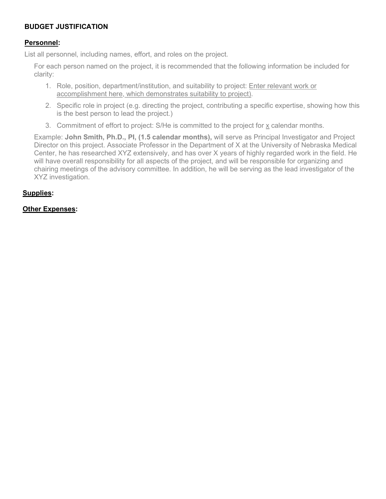# BUDGET JUSTIFICATION

## Personnel:

List all personnel, including names, effort, and roles on the project.

For each person named on the project, it is recommended that the following information be included for clarity:

- 1. Role, position, department/institution, and suitability to project: Enter relevant work or accomplishment here, which demonstrates suitability to project).
- 2. Specific role in project (e.g. directing the project, contributing a specific expertise, showing how this is the best person to lead the project.)
- 3. Commitment of effort to project: S/He is committed to the project for x calendar months.

Example: John Smith, Ph.D., PI, (1.5 calendar months), will serve as Principal Investigator and Project Director on this project. Associate Professor in the Department of X at the University of Nebraska Medical Center, he has researched XYZ extensively, and has over X years of highly regarded work in the field. He will have overall responsibility for all aspects of the project, and will be responsible for organizing and chairing meetings of the advisory committee. In addition, he will be serving as the lead investigator of the XYZ investigation.

## Supplies:

#### Other Expenses: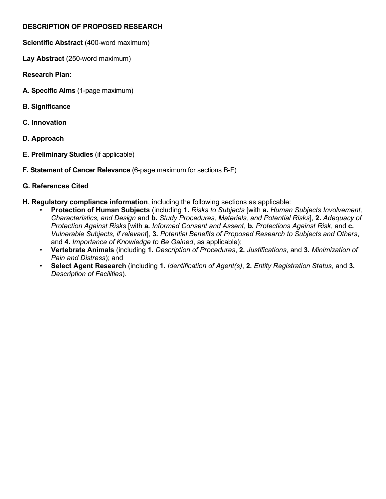# DESCRIPTION OF PROPOSED RESEARCH

- Scientific Abstract (400-word maximum)
- Lay Abstract (250-word maximum)
- Research Plan:
- A. Specific Aims (1-page maximum)
- B. Significance
- C. Innovation
- D. Approach
- E. Preliminary Studies (if applicable)
- F. Statement of Cancer Relevance (6-page maximum for sections B-F)

# G. References Cited

- H. Regulatory compliance information, including the following sections as applicable:
	- Protection of Human Subjects (including 1. Risks to Subjects [with a. Human Subjects Involvement, Characteristics, and Design and b. Study Procedures, Materials, and Potential Risks], 2. Adequacy of Protection Against Risks [with a. Informed Consent and Assent, b. Protections Against Risk, and c. Vulnerable Subjects, if relevant], 3. Potential Benefits of Proposed Research to Subjects and Others, and 4. Importance of Knowledge to Be Gained, as applicable);
	- Vertebrate Animals (including 1. Description of Procedures, 2. Justifications, and 3. Minimization of Pain and Distress); and
	- Select Agent Research (including 1. Identification of Agent(s), 2. Entity Registration Status, and 3. Description of Facilities).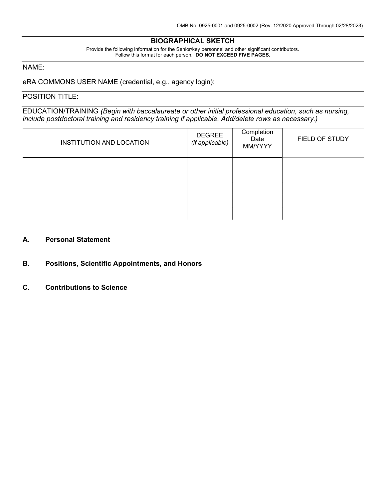#### BIOGRAPHICAL SKETCH

Provide the following information for the Senior/key personnel and other significant contributors. Follow this format for each person. DO NOT EXCEED FIVE PAGES.

## NAME:

eRA COMMONS USER NAME (credential, e.g., agency login):

#### POSITION TITLE:

EDUCATION/TRAINING (Begin with baccalaureate or other initial professional education, such as nursing, include postdoctoral training and residency training if applicable. Add/delete rows as necessary.)

| INSTITUTION AND LOCATION | DEGREE<br>(if applicable) | Completion<br>Date<br>MM/YYYY | FIELD OF STUDY |
|--------------------------|---------------------------|-------------------------------|----------------|
|                          |                           |                               |                |
|                          |                           |                               |                |

#### A. Personal Statement

- B. Positions, Scientific Appointments, and Honors
- C. Contributions to Science